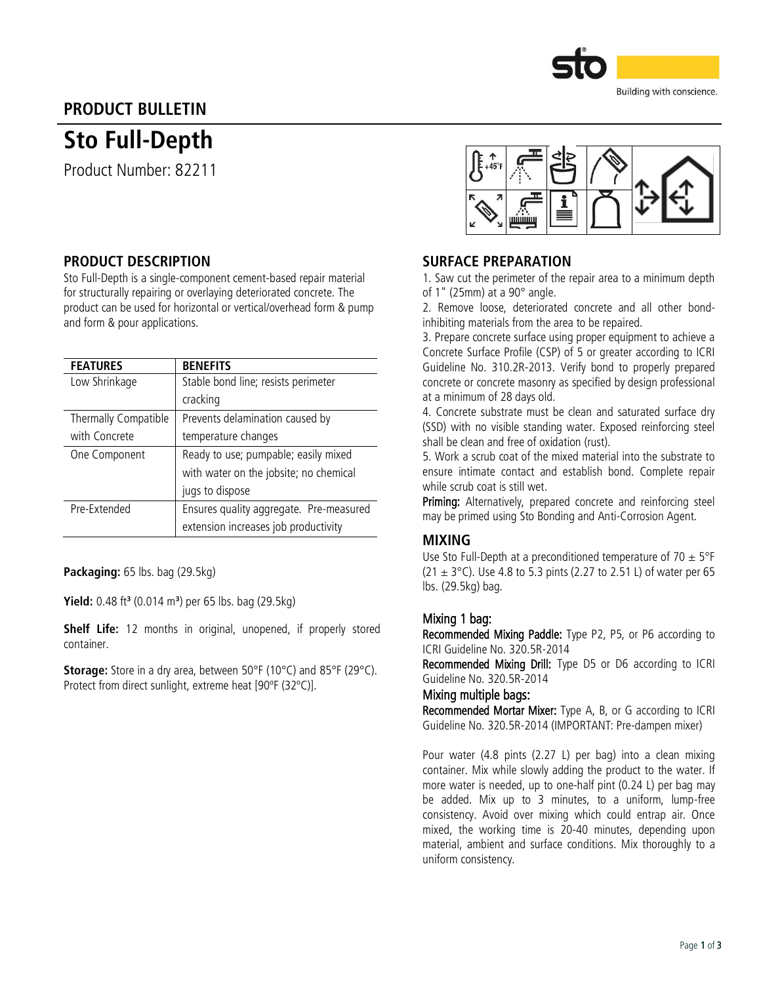

# PRODUCT BULLETIN

# Sto Full-Depth

Product Number: 82211

## PRODUCT DESCRIPTION

Sto Full-Depth is a single-component cement-based repair material for structurally repairing or overlaying deteriorated concrete. The product can be used for horizontal or vertical/overhead form & pump and form & pour applications.

| <b>FEATURES</b>      | <b>BENEFITS</b>                         |  |  |
|----------------------|-----------------------------------------|--|--|
| Low Shrinkage        | Stable bond line; resists perimeter     |  |  |
|                      | cracking                                |  |  |
| Thermally Compatible | Prevents delamination caused by         |  |  |
| with Concrete        | temperature changes                     |  |  |
| One Component        | Ready to use; pumpable; easily mixed    |  |  |
|                      | with water on the jobsite; no chemical  |  |  |
|                      | jugs to dispose                         |  |  |
| Pre-Extended         | Ensures quality aggregate. Pre-measured |  |  |
|                      | extension increases job productivity    |  |  |

Packaging: 65 lbs. bag (29.5kg)

**Yield:** 0.48 ft<sup>3</sup> (0.014 m<sup>3</sup>) per 65 lbs. bag (29.5kg)

Shelf Life: 12 months in original, unopened, if properly stored container.

Storage: Store in a dry area, between 50°F (10°C) and 85°F (29°C). Protect from direct sunlight, extreme heat [90ºF (32ºC)].



### SURFACE PREPARATION

1. Saw cut the perimeter of the repair area to a minimum depth of 1" (25mm) at a 90° angle.

2. Remove loose, deteriorated concrete and all other bondinhibiting materials from the area to be repaired.

3. Prepare concrete surface using proper equipment to achieve a Concrete Surface Profile (CSP) of 5 or greater according to ICRI Guideline No. 310.2R-2013. Verify bond to properly prepared concrete or concrete masonry as specified by design professional at a minimum of 28 days old.

4. Concrete substrate must be clean and saturated surface dry (SSD) with no visible standing water. Exposed reinforcing steel shall be clean and free of oxidation (rust).

5. Work a scrub coat of the mixed material into the substrate to ensure intimate contact and establish bond. Complete repair while scrub coat is still wet.

Priming: Alternatively, prepared concrete and reinforcing steel may be primed using Sto Bonding and Anti-Corrosion Agent.

## MIXING

Use Sto Full-Depth at a preconditioned temperature of  $70 \pm 5$ °F (21  $\pm$  3°C). Use 4.8 to 5.3 pints (2.27 to 2.51 L) of water per 65 lbs. (29.5kg) bag.

#### Mixing 1 bag:

Recommended Mixing Paddle: Type P2, P5, or P6 according to ICRI Guideline No. 320.5R-2014

Recommended Mixing Drill: Type D5 or D6 according to ICRI Guideline No. 320.5R-2014

#### Mixing multiple bags:

Recommended Mortar Mixer: Type A, B, or G according to ICRI Guideline No. 320.5R-2014 (IMPORTANT: Pre-dampen mixer)

Pour water (4.8 pints (2.27 L) per bag) into a clean mixing container. Mix while slowly adding the product to the water. If more water is needed, up to one-half pint (0.24 L) per bag may be added. Mix up to 3 minutes, to a uniform, lump-free consistency. Avoid over mixing which could entrap air. Once mixed, the working time is 20-40 minutes, depending upon material, ambient and surface conditions. Mix thoroughly to a uniform consistency.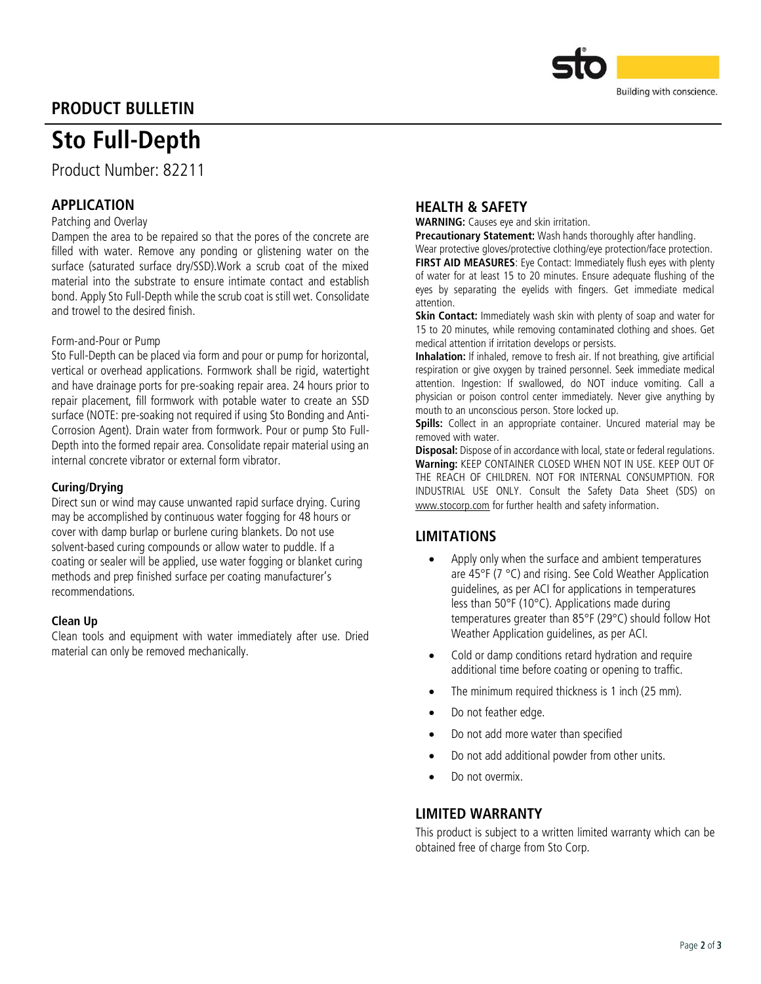

# PRODUCT BULLETIN

# Sto Full-Depth

Product Number: 82211

# APPLICATION

### Patching and Overlay

Dampen the area to be repaired so that the pores of the concrete are filled with water. Remove any ponding or glistening water on the surface (saturated surface dry/SSD).Work a scrub coat of the mixed material into the substrate to ensure intimate contact and establish bond. Apply Sto Full-Depth while the scrub coat is still wet. Consolidate and trowel to the desired finish.

#### Form-and-Pour or Pump

Sto Full-Depth can be placed via form and pour or pump for horizontal, vertical or overhead applications. Formwork shall be rigid, watertight and have drainage ports for pre-soaking repair area. 24 hours prior to repair placement, fill formwork with potable water to create an SSD surface (NOTE: pre-soaking not required if using Sto Bonding and Anti-Corrosion Agent). Drain water from formwork. Pour or pump Sto Full-Depth into the formed repair area. Consolidate repair material using an internal concrete vibrator or external form vibrator.

#### Curing/Drying

Direct sun or wind may cause unwanted rapid surface drying. Curing may be accomplished by continuous water fogging for 48 hours or cover with damp burlap or burlene curing blankets. Do not use solvent-based curing compounds or allow water to puddle. If a coating or sealer will be applied, use water fogging or blanket curing methods and prep finished surface per coating manufacturer's recommendations.

#### Clean Up

Clean tools and equipment with water immediately after use. Dried material can only be removed mechanically.

### HEALTH & SAFETY

WARNING: Causes eye and skin irritation.

Precautionary Statement: Wash hands thoroughly after handling.

Wear protective gloves/protective clothing/eye protection/face protection.

**FIRST AID MEASURES:** Eve Contact: Immediately flush eves with plenty of water for at least 15 to 20 minutes. Ensure adequate flushing of the eyes by separating the eyelids with fingers. Get immediate medical attention.

Skin Contact: Immediately wash skin with plenty of soap and water for 15 to 20 minutes, while removing contaminated clothing and shoes. Get medical attention if irritation develops or persists.

Inhalation: If inhaled, remove to fresh air. If not breathing, give artificial respiration or give oxygen by trained personnel. Seek immediate medical attention. Ingestion: If swallowed, do NOT induce vomiting. Call a physician or poison control center immediately. Never give anything by mouth to an unconscious person. Store locked up.

Spills: Collect in an appropriate container. Uncured material may be removed with water.

**Disposal:** Dispose of in accordance with local, state or federal regulations. Warning: KEEP CONTAINER CLOSED WHEN NOT IN USE. KEEP OUT OF THE REACH OF CHILDREN. NOT FOR INTERNAL CONSUMPTION. FOR INDUSTRIAL USE ONLY. Consult the Safety Data Sheet (SDS) on [www.stocorp.com](http://www.stocorp.com/) for further health and safety information.

## LIMITATIONS

- Apply only when the surface and ambient temperatures are 45°F (7 °C) and rising. See Cold Weather Application guidelines, as per ACI for applications in temperatures less than 50°F (10°C). Applications made during temperatures greater than 85°F (29°C) should follow Hot Weather Application guidelines, as per ACI.
- Cold or damp conditions retard hydration and require additional time before coating or opening to traffic.
- The minimum required thickness is 1 inch (25 mm).
- Do not feather edge.
- Do not add more water than specified
- Do not add additional powder from other units.
- Do not overmix.

#### LIMITED WARRANTY

This product is subject to a written limited warranty which can be obtained free of charge from Sto Corp.